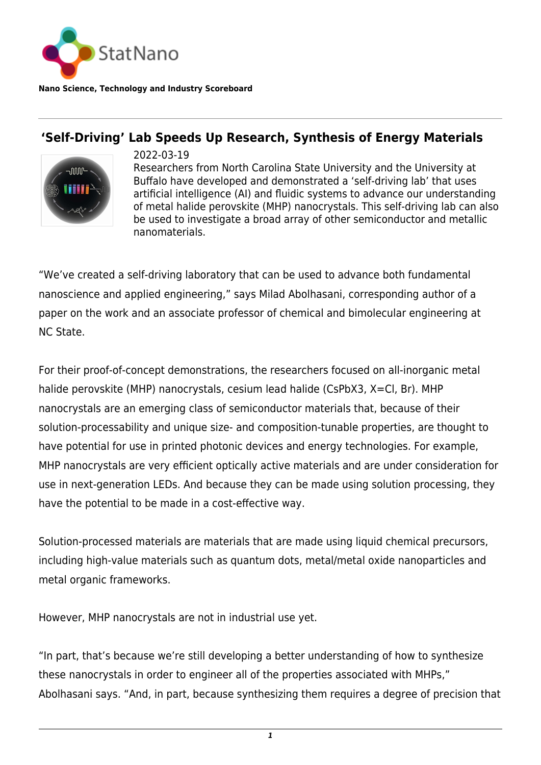

**Nano Science, Technology and Industry Scoreboard**

## **'Self-Driving' Lab Speeds Up Research, Synthesis of Energy Materials**



2022-03-19 Researchers from North Carolina State University and the University at Buffalo have developed and demonstrated a 'self-driving lab' that uses artificial intelligence (AI) and fluidic systems to advance our understanding of metal halide perovskite (MHP) nanocrystals. This self-driving lab can also be used to investigate a broad array of other semiconductor and metallic nanomaterials.

"We've created a self-driving laboratory that can be used to advance both fundamental nanoscience and applied engineering," says Milad Abolhasani, corresponding author of a paper on the work and an associate professor of chemical and bimolecular engineering at NC State.

For their proof-of-concept demonstrations, the researchers focused on all-inorganic metal halide perovskite (MHP) nanocrystals, cesium lead halide (CsPbX3, X=Cl, Br). MHP nanocrystals are an emerging class of semiconductor materials that, because of their solution-processability and unique size- and composition-tunable properties, are thought to have potential for use in printed photonic devices and energy technologies. For example, MHP nanocrystals are very efficient optically active materials and are under consideration for use in next-generation LEDs. And because they can be made using solution processing, they have the potential to be made in a cost-effective way.

Solution-processed materials are materials that are made using liquid chemical precursors, including high-value materials such as quantum dots, metal/metal oxide nanoparticles and metal organic frameworks.

However, MHP nanocrystals are not in industrial use yet.

"In part, that's because we're still developing a better understanding of how to synthesize these nanocrystals in order to engineer all of the properties associated with MHPs," Abolhasani says. "And, in part, because synthesizing them requires a degree of precision that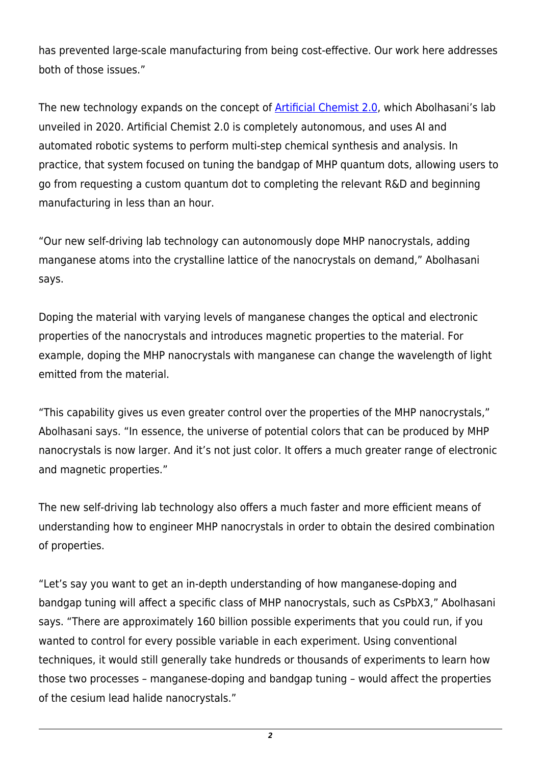has prevented large-scale manufacturing from being cost-effective. Our work here addresses both of those issues."

The new technology expands on the concept of **Artificial Chemist 2.0**, which Abolhasani's lab unveiled in 2020. Artificial Chemist 2.0 is completely autonomous, and uses AI and automated robotic systems to perform multi-step chemical synthesis and analysis. In practice, that system focused on tuning the bandgap of MHP quantum dots, allowing users to go from requesting a custom quantum dot to completing the relevant R&D and beginning manufacturing in less than an hour.

"Our new self-driving lab technology can autonomously dope MHP nanocrystals, adding manganese atoms into the crystalline lattice of the nanocrystals on demand," Abolhasani says.

Doping the material with varying levels of manganese changes the optical and electronic properties of the nanocrystals and introduces magnetic properties to the material. For example, doping the MHP nanocrystals with manganese can change the wavelength of light emitted from the material.

"This capability gives us even greater control over the properties of the MHP nanocrystals," Abolhasani says. "In essence, the universe of potential colors that can be produced by MHP nanocrystals is now larger. And it's not just color. It offers a much greater range of electronic and magnetic properties."

The new self-driving lab technology also offers a much faster and more efficient means of understanding how to engineer MHP nanocrystals in order to obtain the desired combination of properties.

"Let's say you want to get an in-depth understanding of how manganese-doping and bandgap tuning will affect a specific class of MHP nanocrystals, such as CsPbX3," Abolhasani says. "There are approximately 160 billion possible experiments that you could run, if you wanted to control for every possible variable in each experiment. Using conventional techniques, it would still generally take hundreds or thousands of experiments to learn how those two processes – manganese-doping and bandgap tuning – would affect the properties of the cesium lead halide nanocrystals."